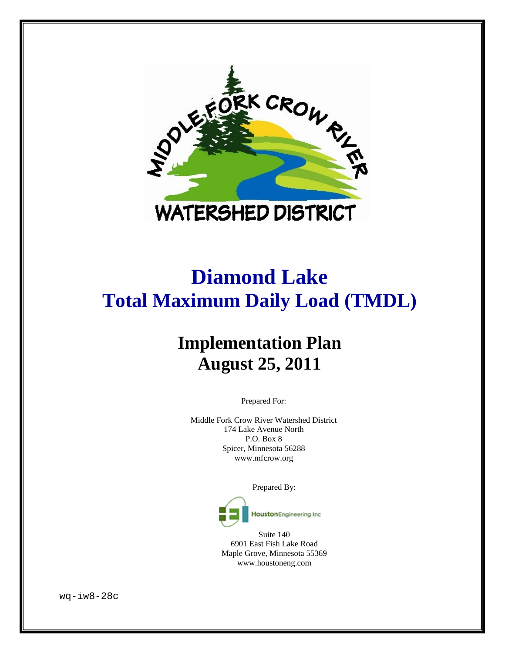

# **Diamond Lake Total Maximum Daily Load (TMDL)**

# **Implementation Plan August 25, 2011**

Prepared For:

Middle Fork Crow River Watershed District 174 Lake Avenue North P.O. Box 8 Spicer, Minnesota 56288 www.mfcrow.org

Prepared By:



Suite 140 6901 East Fish Lake Road Maple Grove, Minnesota 55369 www.houstoneng.com

wq-iw8-28c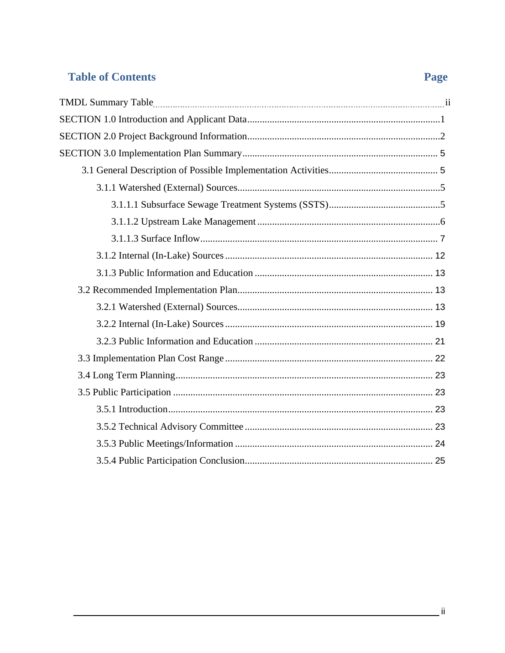# **Table of Contents**

# Page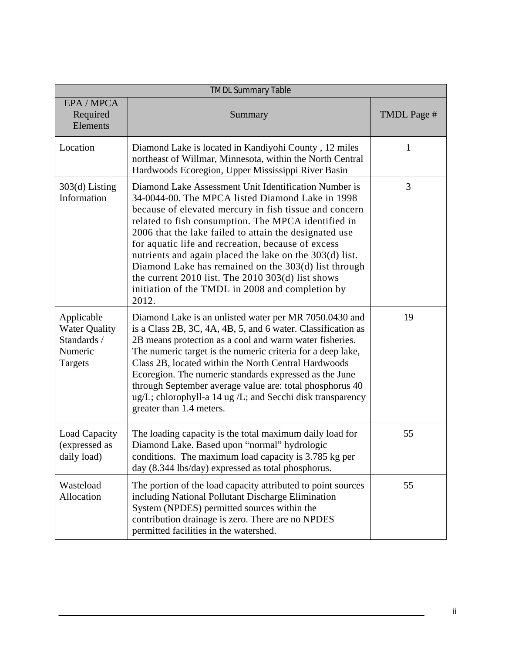| <b>TMDL Summary Table</b>                                               |                                                                                                                                                                                                                                                                                                                                                                                                                                                                                                                                                                                       |             |  |  |
|-------------------------------------------------------------------------|---------------------------------------------------------------------------------------------------------------------------------------------------------------------------------------------------------------------------------------------------------------------------------------------------------------------------------------------------------------------------------------------------------------------------------------------------------------------------------------------------------------------------------------------------------------------------------------|-------------|--|--|
| EPA / MPCA<br>Required<br>Elements                                      | Summary                                                                                                                                                                                                                                                                                                                                                                                                                                                                                                                                                                               | TMDL Page # |  |  |
| Location                                                                | Diamond Lake is located in Kandiyohi County, 12 miles<br>northeast of Willmar, Minnesota, within the North Central<br>Hardwoods Ecoregion, Upper Mississippi River Basin                                                                                                                                                                                                                                                                                                                                                                                                              | 1           |  |  |
| 303(d) Listing<br>Information                                           | Diamond Lake Assessment Unit Identification Number is<br>34-0044-00. The MPCA listed Diamond Lake in 1998<br>because of elevated mercury in fish tissue and concern<br>related to fish consumption. The MPCA identified in<br>2006 that the lake failed to attain the designated use<br>for aquatic life and recreation, because of excess<br>nutrients and again placed the lake on the 303(d) list.<br>Diamond Lake has remained on the 303(d) list through<br>the current $2010$ list. The $2010$ $303(d)$ list shows<br>initiation of the TMDL in 2008 and completion by<br>2012. | 3           |  |  |
| Applicable<br><b>Water Quality</b><br>Standards /<br>Numeric<br>Targets | Diamond Lake is an unlisted water per MR 7050.0430 and<br>is a Class 2B, 3C, 4A, 4B, 5, and 6 water. Classification as<br>2B means protection as a cool and warm water fisheries.<br>The numeric target is the numeric criteria for a deep lake,<br>Class 2B, located within the North Central Hardwoods<br>Ecoregion. The numeric standards expressed as the June<br>through September average value are: total phosphorus 40<br>ug/L; chlorophyll-a 14 ug /L; and Secchi disk transparency<br>greater than 1.4 meters.                                                              | 19          |  |  |
| Load Capacity<br>(expressed as<br>daily load)                           | The loading capacity is the total maximum daily load for<br>Diamond Lake. Based upon "normal" hydrologic<br>conditions. The maximum load capacity is 3.785 kg per<br>day (8.344 lbs/day) expressed as total phosphorus.                                                                                                                                                                                                                                                                                                                                                               | 55          |  |  |
| Wasteload<br>Allocation                                                 | The portion of the load capacity attributed to point sources<br>including National Pollutant Discharge Elimination<br>System (NPDES) permitted sources within the<br>contribution drainage is zero. There are no NPDES<br>permitted facilities in the watershed.                                                                                                                                                                                                                                                                                                                      | 55          |  |  |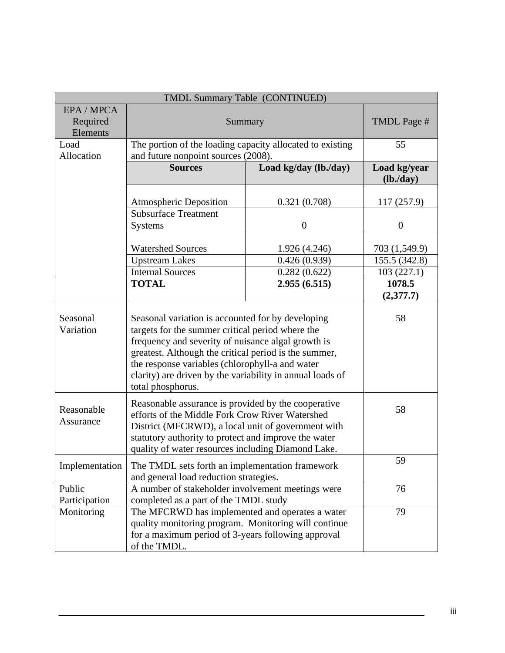| TMDL Summary Table (CONTINUED)     |                                                                                                                                                                                                                                                                                                                                                           |                       |                                 |  |
|------------------------------------|-----------------------------------------------------------------------------------------------------------------------------------------------------------------------------------------------------------------------------------------------------------------------------------------------------------------------------------------------------------|-----------------------|---------------------------------|--|
| EPA / MPCA<br>Required<br>Elements | Summary                                                                                                                                                                                                                                                                                                                                                   | TMDL Page #           |                                 |  |
| Load<br>Allocation                 | The portion of the loading capacity allocated to existing<br>and future nonpoint sources (2008).                                                                                                                                                                                                                                                          |                       | 55                              |  |
|                                    | <b>Sources</b>                                                                                                                                                                                                                                                                                                                                            | Load kg/day (lb./day) | Load kg/year<br>$(lb$ ./day $)$ |  |
|                                    | <b>Atmospheric Deposition</b>                                                                                                                                                                                                                                                                                                                             | 0.321(0.708)          | 117 (257.9)                     |  |
|                                    | <b>Subsurface Treatment</b><br><b>Systems</b>                                                                                                                                                                                                                                                                                                             | $\boldsymbol{0}$      | $\boldsymbol{0}$                |  |
|                                    | <b>Watershed Sources</b>                                                                                                                                                                                                                                                                                                                                  | 1.926 (4.246)         | 703 (1,549.9)                   |  |
|                                    | <b>Upstream Lakes</b>                                                                                                                                                                                                                                                                                                                                     | 0.426(0.939)          | 155.5 (342.8)                   |  |
|                                    | <b>Internal Sources</b>                                                                                                                                                                                                                                                                                                                                   | 0.282(0.622)          | 103(227.1)                      |  |
|                                    | <b>TOTAL</b>                                                                                                                                                                                                                                                                                                                                              | 2.955(6.515)          | 1078.5<br>(2,377.7)             |  |
| Seasonal<br>Variation              | Seasonal variation is accounted for by developing<br>targets for the summer critical period where the<br>frequency and severity of nuisance algal growth is<br>greatest. Although the critical period is the summer,<br>the response variables (chlorophyll-a and water<br>clarity) are driven by the variability in annual loads of<br>total phosphorus. | 58                    |                                 |  |
| Reasonable<br>Assurance            | Reasonable assurance is provided by the cooperative<br>efforts of the Middle Fork Crow River Watershed<br>District (MFCRWD), a local unit of government with<br>statutory authority to protect and improve the water<br>quality of water resources including Diamond Lake.                                                                                | 58                    |                                 |  |
| Implementation                     | The TMDL sets forth an implementation framework<br>and general load reduction strategies.                                                                                                                                                                                                                                                                 | 59                    |                                 |  |
| Public<br>Participation            | A number of stakeholder involvement meetings were<br>completed as a part of the TMDL study                                                                                                                                                                                                                                                                |                       | 76                              |  |
| Monitoring                         | The MFCRWD has implemented and operates a water<br>quality monitoring program. Monitoring will continue<br>for a maximum period of 3-years following approval<br>of the TMDL.                                                                                                                                                                             | 79                    |                                 |  |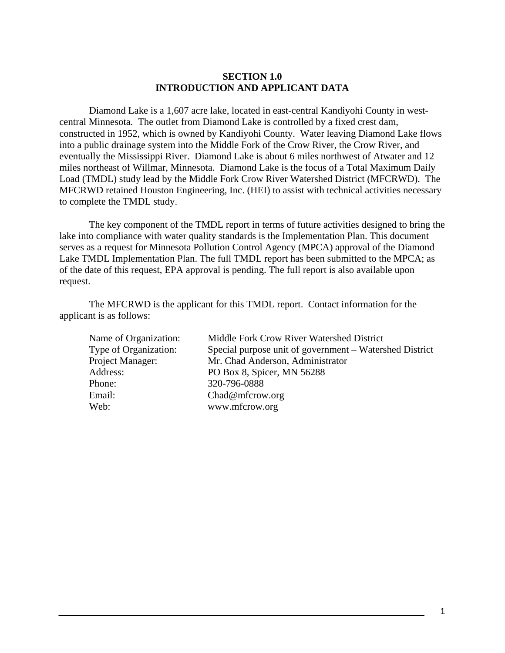#### **SECTION 1.0 INTRODUCTION AND APPLICANT DATA**

<span id="page-4-0"></span>Diamond Lake is a 1,607 acre lake, located in east-central Kandiyohi County in westcentral Minnesota. The outlet from Diamond Lake is controlled by a fixed crest dam, constructed in 1952, which is owned by Kandiyohi County. Water leaving Diamond Lake flows into a public drainage system into the Middle Fork of the Crow River, the Crow River, and eventually the Mississippi River. Diamond Lake is about 6 miles northwest of Atwater and 12 miles northeast of Willmar, Minnesota. Diamond Lake is the focus of a Total Maximum Daily Load (TMDL) study lead by the Middle Fork Crow River Watershed District (MFCRWD). The MFCRWD retained Houston Engineering, Inc. (HEI) to assist with technical activities necessary to complete the TMDL study.

The key component of the TMDL report in terms of future activities designed to bring the lake into compliance with water quality standards is the Implementation Plan. This document serves as a request for Minnesota Pollution Control Agency (MPCA) approval of the Diamond Lake TMDL Implementation Plan. The full TMDL report has been submitted to the MPCA; as of the date of this request, EPA approval is pending. The full report is also available upon request.

The MFCRWD is the applicant for this TMDL report. Contact information for the applicant is as follows:

| Name of Organization: | Middle Fork Crow River Watershed District               |
|-----------------------|---------------------------------------------------------|
| Type of Organization: | Special purpose unit of government – Watershed District |
| Project Manager:      | Mr. Chad Anderson, Administrator                        |
| Address:              | PO Box 8, Spicer, MN 56288                              |
| Phone:                | 320-796-0888                                            |
| Email:                | Chad@mfcrow.org                                         |
| Web:                  | www.mfcrow.org                                          |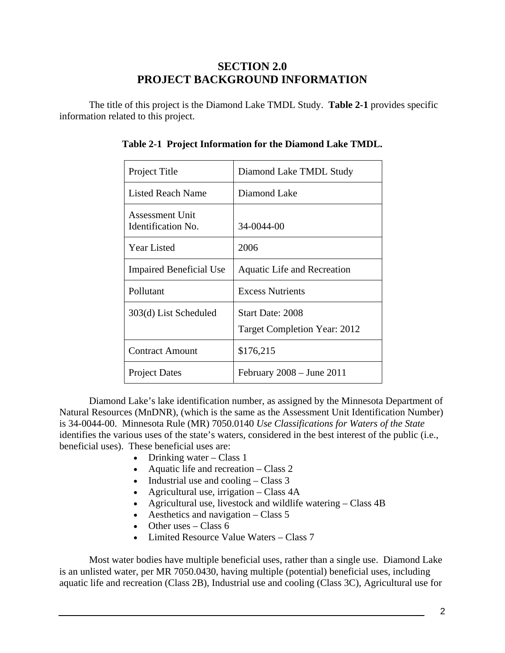### **SECTION 2.0 PROJECT BACKGROUND INFORMATION**

<span id="page-5-0"></span>The title of this project is the Diamond Lake TMDL Study. **Table 2-1** provides specific information related to this project.

| Project Title                                | Diamond Lake TMDL Study                                 |
|----------------------------------------------|---------------------------------------------------------|
| Listed Reach Name                            | Diamond Lake                                            |
| Assessment Unit<br><b>Identification No.</b> | 34-0044-00                                              |
| Year Listed                                  | 2006                                                    |
| <b>Impaired Beneficial Use</b>               | Aquatic Life and Recreation                             |
| Pollutant                                    | <b>Excess Nutrients</b>                                 |
| 303(d) List Scheduled                        | Start Date: 2008<br><b>Target Completion Year: 2012</b> |
| <b>Contract Amount</b>                       | \$176,215                                               |
| <b>Project Dates</b>                         | February $2008 -$ June $2011$                           |

|  | Table 2-1 Project Information for the Diamond Lake TMDL. |  |  |
|--|----------------------------------------------------------|--|--|
|  |                                                          |  |  |
|  |                                                          |  |  |

Diamond Lake's lake identification number, as assigned by the Minnesota Department of Natural Resources (MnDNR), (which is the same as the Assessment Unit Identification Number) is 34-0044-00. Minnesota Rule (MR) 7050.0140 *Use Classifications for Waters of the State* identifies the various uses of the state's waters, considered in the best interest of the public (i.e., beneficial uses). These beneficial uses are:

- Drinking water Class 1
- Aquatic life and recreation Class 2
- Industrial use and cooling Class 3
- Agricultural use, irrigation  $-$  Class 4A
- Agricultural use, livestock and wildlife watering Class 4B
- Aesthetics and navigation  $-$  Class 5
- Other uses Class  $6$
- Limited Resource Value Waters Class 7

Most water bodies have multiple beneficial uses, rather than a single use. Diamond Lake is an unlisted water, per MR 7050.0430, having multiple (potential) beneficial uses, including aquatic life and recreation (Class 2B), Industrial use and cooling (Class 3C), Agricultural use for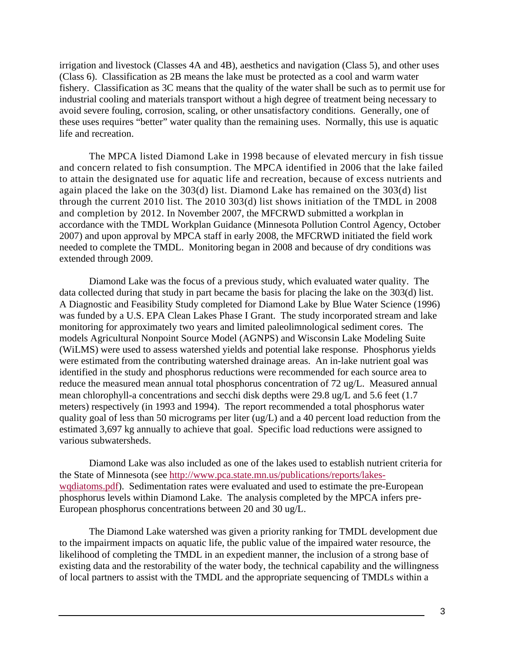irrigation and livestock (Classes 4A and 4B), aesthetics and navigation (Class 5), and other uses (Class 6). Classification as 2B means the lake must be protected as a cool and warm water fishery. Classification as 3C means that the quality of the water shall be such as to permit use for industrial cooling and materials transport without a high degree of treatment being necessary to avoid severe fouling, corrosion, scaling, or other unsatisfactory conditions. Generally, one of these uses requires "better" water quality than the remaining uses. Normally, this use is aquatic life and recreation.

The MPCA listed Diamond Lake in 1998 because of elevated mercury in fish tissue and concern related to fish consumption. The MPCA identified in 2006 that the lake failed to attain the designated use for aquatic life and recreation, because of excess nutrients and again placed the lake on the 303(d) list. Diamond Lake has remained on the 303(d) list through the current 2010 list. The 2010 303(d) list shows initiation of the TMDL in 2008 and completion by 2012. In November 2007, the MFCRWD submitted a workplan in accordance with the TMDL Workplan Guidance (Minnesota Pollution Control Agency, October 2007) and upon approval by MPCA staff in early 2008, the MFCRWD initiated the field work needed to complete the TMDL. Monitoring began in 2008 and because of dry conditions was extended through 2009.

Diamond Lake was the focus of a previous study, which evaluated water quality. The data collected during that study in part became the basis for placing the lake on the 303(d) list. A Diagnostic and Feasibility Study completed for Diamond Lake by Blue Water Science (1996) was funded by a U.S. EPA Clean Lakes Phase I Grant. The study incorporated stream and lake monitoring for approximately two years and limited paleolimnological sediment cores. The models Agricultural Nonpoint Source Model (AGNPS) and Wisconsin Lake Modeling Suite (WiLMS) were used to assess watershed yields and potential lake response. Phosphorus yields were estimated from the contributing watershed drainage areas. An in-lake nutrient goal was identified in the study and phosphorus reductions were recommended for each source area to reduce the measured mean annual total phosphorus concentration of 72 ug/L. Measured annual mean chlorophyll-a concentrations and secchi disk depths were 29.8 ug/L and 5.6 feet (1.7 meters) respectively (in 1993 and 1994). The report recommended a total phosphorus water quality goal of less than 50 micrograms per liter (ug/L) and a 40 percent load reduction from the estimated 3,697 kg annually to achieve that goal. Specific load reductions were assigned to various subwatersheds.

Diamond Lake was also included as one of the lakes used to establish nutrient criteria for the State of Minnesota (see [http://www.pca.state.mn.us/publications/reports/lakes](http://www.pca.state.mn.us/publications/reports/lakes-wqdiatoms.pdf)[wqdiatoms.pdf\)](http://www.pca.state.mn.us/publications/reports/lakes-wqdiatoms.pdf). Sedimentation rates were evaluated and used to estimate the pre-European phosphorus levels within Diamond Lake. The analysis completed by the MPCA infers pre-European phosphorus concentrations between 20 and 30 ug/L.

The Diamond Lake watershed was given a priority ranking for TMDL development due to the impairment impacts on aquatic life, the public value of the impaired water resource, the likelihood of completing the TMDL in an expedient manner, the inclusion of a strong base of existing data and the restorability of the water body, the technical capability and the willingness of local partners to assist with the TMDL and the appropriate sequencing of TMDLs within a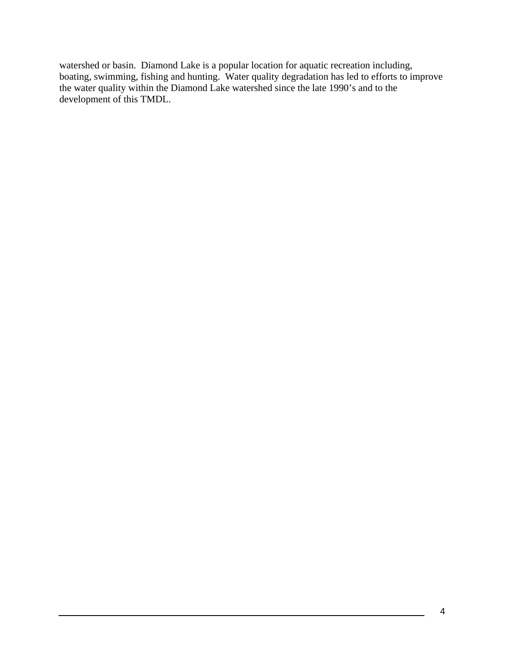watershed or basin. Diamond Lake is a popular location for aquatic recreation including, boating, swimming, fishing and hunting. Water quality degradation has led to efforts to improve the water quality within the Diamond Lake watershed since the late 1990's and to the development of this TMDL.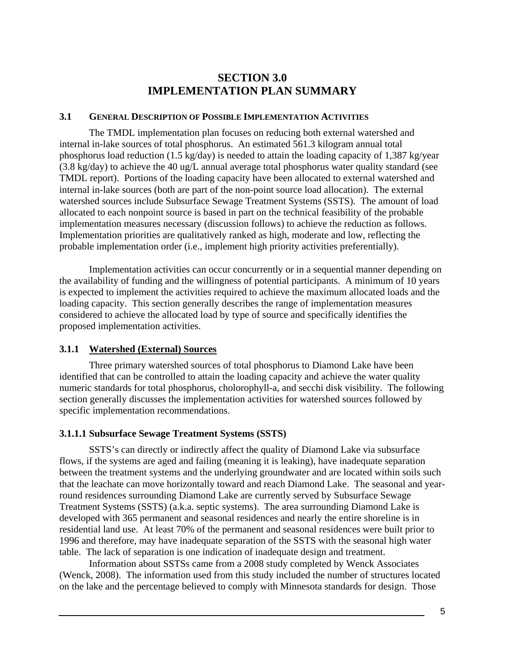#### **SECTION 3.0 IMPLEMENTATION PLAN SUMMARY**

#### <span id="page-8-0"></span>**3.1 GENERAL DESCRIPTION OF POSSIBLE IMPLEMENTATION ACTIVITIES**

The TMDL implementation plan focuses on reducing both external watershed and internal in-lake sources of total phosphorus. An estimated 561.3 kilogram annual total phosphorus load reduction (1.5 kg/day) is needed to attain the loading capacity of 1,387 kg/year (3.8 kg/day) to achieve the 40 ug/L annual average total phosphorus water quality standard (see TMDL report). Portions of the loading capacity have been allocated to external watershed and internal in-lake sources (both are part of the non-point source load allocation). The external watershed sources include Subsurface Sewage Treatment Systems (SSTS). The amount of load allocated to each nonpoint source is based in part on the technical feasibility of the probable implementation measures necessary (discussion follows) to achieve the reduction as follows. Implementation priorities are qualitatively ranked as high, moderate and low, reflecting the probable implementation order (i.e., implement high priority activities preferentially).

Implementation activities can occur concurrently or in a sequential manner depending on the availability of funding and the willingness of potential participants. A minimum of 10 years is expected to implement the activities required to achieve the maximum allocated loads and the loading capacity. This section generally describes the range of implementation measures considered to achieve the allocated load by type of source and specifically identifies the proposed implementation activities.

#### **3.1.1 Watershed (External) Sources**

Three primary watershed sources of total phosphorus to Diamond Lake have been identified that can be controlled to attain the loading capacity and achieve the water quality numeric standards for total phosphorus, cholorophyll-a, and secchi disk visibility. The following section generally discusses the implementation activities for watershed sources followed by specific implementation recommendations.

#### **3.1.1.1 Subsurface Sewage Treatment Systems (SSTS)**

SSTS's can directly or indirectly affect the quality of Diamond Lake via subsurface flows, if the systems are aged and failing (meaning it is leaking), have inadequate separation between the treatment systems and the underlying groundwater and are located within soils such that the leachate can move horizontally toward and reach Diamond Lake. The seasonal and yearround residences surrounding Diamond Lake are currently served by Subsurface Sewage Treatment Systems (SSTS) (a.k.a. septic systems). The area surrounding Diamond Lake is developed with 365 permanent and seasonal residences and nearly the entire shoreline is in residential land use. At least 70% of the permanent and seasonal residences were built prior to 1996 and therefore, may have inadequate separation of the SSTS with the seasonal high water table. The lack of separation is one indication of inadequate design and treatment.

Information about SSTSs came from a 2008 study completed by Wenck Associates (Wenck, 2008). The information used from this study included the number of structures located on the lake and the percentage believed to comply with Minnesota standards for design. Those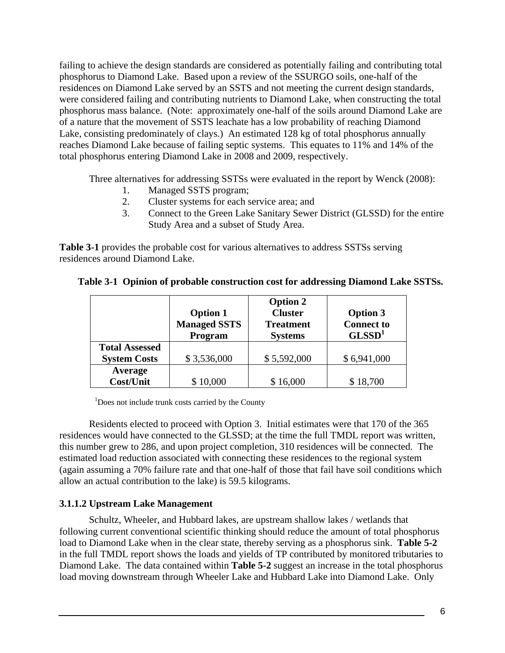<span id="page-9-0"></span>failing to achieve the design standards are considered as potentially failing and contributing total phosphorus to Diamond Lake. Based upon a review of the SSURGO soils, one-half of the residences on Diamond Lake served by an SSTS and not meeting the current design standards, were considered failing and contributing nutrients to Diamond Lake, when constructing the total phosphorus mass balance. (Note: approximately one-half of the soils around Diamond Lake are of a nature that the movement of SSTS leachate has a low probability of reaching Diamond Lake, consisting predominately of clays.) An estimated 128 kg of total phosphorus annually reaches Diamond Lake because of failing septic systems. This equates to 11% and 14% of the total phosphorus entering Diamond Lake in 2008 and 2009, respectively.

Three alternatives for addressing SSTSs were evaluated in the report by Wenck (2008):

- 1. Managed SSTS program;
- 2. Cluster systems for each service area; and
- 3. Connect to the Green Lake Sanitary Sewer District (GLSSD) for the entire Study Area and a subset of Study Area.

**Table 3-1** provides the probable cost for various alternatives to address SSTSs serving residences around Diamond Lake.

|                       | <b>Option 1</b><br><b>Managed SSTS</b><br>Program | <b>Option 2</b><br><b>Cluster</b><br><b>Treatment</b><br><b>Systems</b> | <b>Option 3</b><br><b>Connect to</b><br>GLSSD <sup>1</sup> |
|-----------------------|---------------------------------------------------|-------------------------------------------------------------------------|------------------------------------------------------------|
| <b>Total Assessed</b> |                                                   |                                                                         |                                                            |
| <b>System Costs</b>   | \$3,536,000                                       | \$5,592,000                                                             | \$6,941,000                                                |
| Average               |                                                   |                                                                         |                                                            |
| Cost/Unit             | \$10,000                                          | \$16,000                                                                | \$18,700                                                   |

|  |  |  | Table 3-1 Opinion of probable construction cost for addressing Diamond Lake SSTSs. |
|--|--|--|------------------------------------------------------------------------------------|
|  |  |  |                                                                                    |

<sup>1</sup>Does not include trunk costs carried by the County

Residents elected to proceed with Option 3. Initial estimates were that 170 of the 365 residences would have connected to the GLSSD; at the time the full TMDL report was written, this number grew to 286, and upon project completion, 310 residences will be connected. The estimated load reduction associated with connecting these residences to the regional system (again assuming a 70% failure rate and that one-half of those that fail have soil conditions which allow an actual contribution to the lake) is 59.5 kilograms.

#### **3.1.1.2 Upstream Lake Management**

Schultz, Wheeler, and Hubbard lakes, are upstream shallow lakes / wetlands that following current conventional scientific thinking should reduce the amount of total phosphorus load to Diamond Lake when in the clear state, thereby serving as a phosphorus sink. **Table 5-2** in the full TMDL report shows the loads and yields of TP contributed by monitored tributaries to Diamond Lake. The data contained within **Table 5-2** suggest an increase in the total phosphorus load moving downstream through Wheeler Lake and Hubbard Lake into Diamond Lake. Only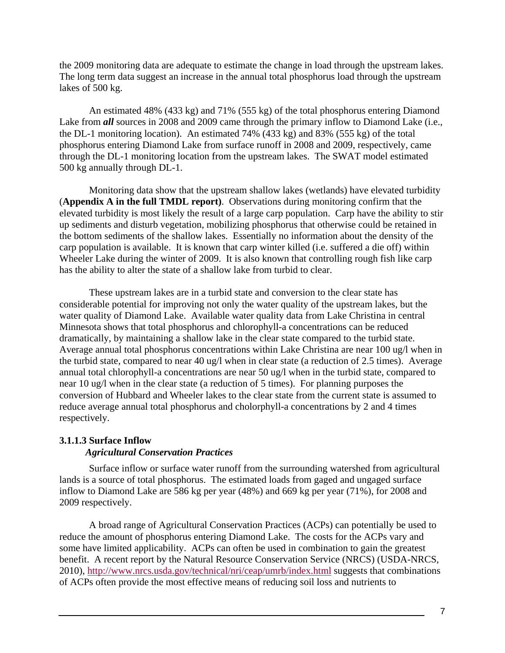the 2009 monitoring data are adequate to estimate the change in load through the upstream lakes. The long term data suggest an increase in the annual total phosphorus load through the upstream lakes of 500 kg.

An estimated 48% (433 kg) and 71% (555 kg) of the total phosphorus entering Diamond Lake from **all** sources in 2008 and 2009 came through the primary inflow to Diamond Lake (i.e., the DL-1 monitoring location). An estimated 74% (433 kg) and 83% (555 kg) of the total phosphorus entering Diamond Lake from surface runoff in 2008 and 2009, respectively, came through the DL-1 monitoring location from the upstream lakes. The SWAT model estimated 500 kg annually through DL-1.

Monitoring data show that the upstream shallow lakes (wetlands) have elevated turbidity (**Appendix A in the full TMDL report)**. Observations during monitoring confirm that the elevated turbidity is most likely the result of a large carp population. Carp have the ability to stir up sediments and disturb vegetation, mobilizing phosphorus that otherwise could be retained in the bottom sediments of the shallow lakes. Essentially no information about the density of the carp population is available. It is known that carp winter killed (i.e. suffered a die off) within Wheeler Lake during the winter of 2009. It is also known that controlling rough fish like carp has the ability to alter the state of a shallow lake from turbid to clear.

These upstream lakes are in a turbid state and conversion to the clear state has considerable potential for improving not only the water quality of the upstream lakes, but the water quality of Diamond Lake. Available water quality data from Lake Christina in central Minnesota shows that total phosphorus and chlorophyll-a concentrations can be reduced dramatically, by maintaining a shallow lake in the clear state compared to the turbid state. Average annual total phosphorus concentrations within Lake Christina are near 100 ug/l when in the turbid state, compared to near 40 ug/l when in clear state (a reduction of 2.5 times). Average annual total chlorophyll-a concentrations are near 50 ug/l when in the turbid state, compared to near 10 ug/l when in the clear state (a reduction of 5 times). For planning purposes the conversion of Hubbard and Wheeler lakes to the clear state from the current state is assumed to reduce average annual total phosphorus and cholorphyll-a concentrations by 2 and 4 times respectively.

#### **3.1.1.3 Surface Inflow**  *Agricultural Conservation Practices*

Surface inflow or surface water runoff from the surrounding watershed from agricultural lands is a source of total phosphorus. The estimated loads from gaged and ungaged surface inflow to Diamond Lake are 586 kg per year (48%) and 669 kg per year (71%), for 2008 and 2009 respectively.

A broad range of Agricultural Conservation Practices (ACPs) can potentially be used to reduce the amount of phosphorus entering Diamond Lake. The costs for the ACPs vary and some have limited applicability. ACPs can often be used in combination to gain the greatest benefit. A recent report by the Natural Resource Conservation Service (NRCS) (USDA-NRCS, 2010),<http://www.nrcs.usda.gov/technical/nri/ceap/umrb/index.html>suggests that combinations of ACPs often provide the most effective means of reducing soil loss and nutrients to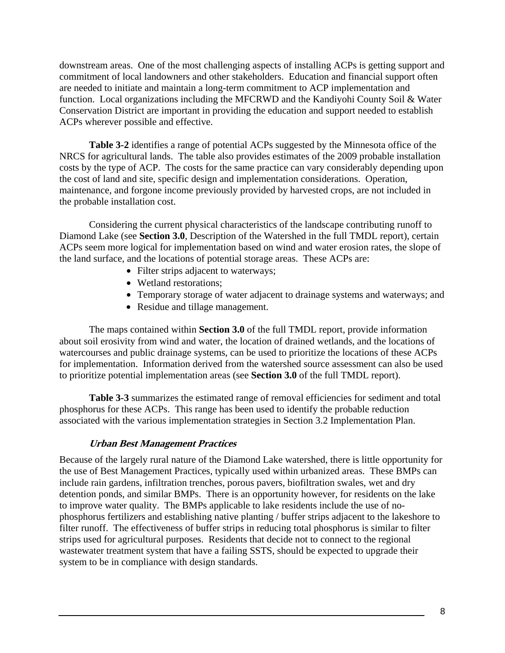downstream areas. One of the most challenging aspects of installing ACPs is getting support and commitment of local landowners and other stakeholders. Education and financial support often are needed to initiate and maintain a long-term commitment to ACP implementation and function. Local organizations including the MFCRWD and the Kandiyohi County Soil & Water Conservation District are important in providing the education and support needed to establish ACPs wherever possible and effective.

**Table 3-2** identifies a range of potential ACPs suggested by the Minnesota office of the NRCS for agricultural lands. The table also provides estimates of the 2009 probable installation costs by the type of ACP. The costs for the same practice can vary considerably depending upon the cost of land and site, specific design and implementation considerations. Operation, maintenance, and forgone income previously provided by harvested crops, are not included in the probable installation cost.

Considering the current physical characteristics of the landscape contributing runoff to Diamond Lake (see **Section 3.0**, Description of the Watershed in the full TMDL report), certain ACPs seem more logical for implementation based on wind and water erosion rates, the slope of the land surface, and the locations of potential storage areas. These ACPs are:

- Filter strips adjacent to waterways;
- Wetland restorations;
- Temporary storage of water adjacent to drainage systems and waterways; and
- Residue and tillage management.

The maps contained within **Section 3.0** of the full TMDL report, provide information about soil erosivity from wind and water, the location of drained wetlands, and the locations of watercourses and public drainage systems, can be used to prioritize the locations of these ACPs for implementation. Information derived from the watershed source assessment can also be used to prioritize potential implementation areas (see **Section 3.0** of the full TMDL report).

**Table 3-3** summarizes the estimated range of removal efficiencies for sediment and total phosphorus for these ACPs. This range has been used to identify the probable reduction associated with the various implementation strategies in Section 3.2 Implementation Plan.

#### **Urban Best Management Practices**

Because of the largely rural nature of the Diamond Lake watershed, there is little opportunity for the use of Best Management Practices, typically used within urbanized areas. These BMPs can include rain gardens, infiltration trenches, porous pavers, biofiltration swales, wet and dry detention ponds, and similar BMPs. There is an opportunity however, for residents on the lake to improve water quality. The BMPs applicable to lake residents include the use of nophosphorus fertilizers and establishing native planting / buffer strips adjacent to the lakeshore to filter runoff. The effectiveness of buffer strips in reducing total phosphorus is similar to filter strips used for agricultural purposes. Residents that decide not to connect to the regional wastewater treatment system that have a failing SSTS, should be expected to upgrade their system to be in compliance with design standards.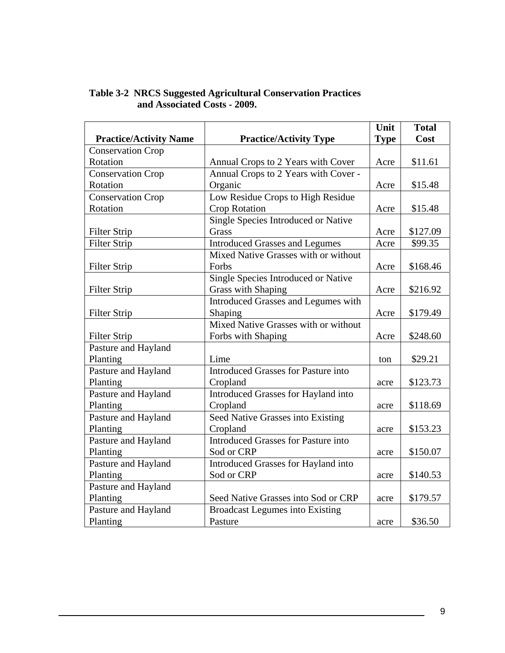|                               |                                            |             | <b>Total</b> |
|-------------------------------|--------------------------------------------|-------------|--------------|
| <b>Practice/Activity Name</b> | <b>Practice/Activity Type</b>              | <b>Type</b> | Cost         |
| <b>Conservation Crop</b>      |                                            |             |              |
| Rotation                      | Annual Crops to 2 Years with Cover         |             | \$11.61      |
| <b>Conservation Crop</b>      | Annual Crops to 2 Years with Cover -       |             |              |
| Rotation                      | Organic                                    | Acre        | \$15.48      |
| <b>Conservation Crop</b>      | Low Residue Crops to High Residue          |             |              |
| Rotation                      | <b>Crop Rotation</b>                       | Acre        | \$15.48      |
|                               | Single Species Introduced or Native        |             |              |
| <b>Filter Strip</b>           | Grass                                      | Acre        | \$127.09     |
| <b>Filter Strip</b>           | <b>Introduced Grasses and Legumes</b>      | Acre        | \$99.35      |
|                               | Mixed Native Grasses with or without       |             |              |
| Filter Strip                  | Forbs                                      | Acre        | \$168.46     |
|                               | Single Species Introduced or Native        |             |              |
| <b>Filter Strip</b>           | <b>Grass with Shaping</b>                  | Acre        | \$216.92     |
|                               | Introduced Grasses and Legumes with        |             |              |
| <b>Filter Strip</b>           | Shaping                                    | Acre        | \$179.49     |
|                               | Mixed Native Grasses with or without       |             |              |
| <b>Filter Strip</b>           | Forbs with Shaping                         | Acre        | \$248.60     |
| Pasture and Hayland           |                                            |             |              |
| Planting                      | Lime                                       | ton         | \$29.21      |
| Pasture and Hayland           | <b>Introduced Grasses for Pasture into</b> |             |              |
| Planting                      | Cropland                                   | acre        | \$123.73     |
| Pasture and Hayland           | Introduced Grasses for Hayland into        |             |              |
| Planting                      | Cropland                                   | acre        | \$118.69     |
| Pasture and Hayland           | Seed Native Grasses into Existing          |             |              |
| Planting                      | Cropland                                   | acre        | \$153.23     |
| Pasture and Hayland           | <b>Introduced Grasses for Pasture into</b> |             |              |
| Planting                      | Sod or CRP                                 | acre        | \$150.07     |
| Pasture and Hayland           | Introduced Grasses for Hayland into        |             |              |
| Planting                      | Sod or CRP                                 | acre        | \$140.53     |
| Pasture and Hayland           |                                            |             |              |
| Planting                      | Seed Native Grasses into Sod or CRP        | acre        | \$179.57     |
| Pasture and Hayland           | <b>Broadcast Legumes into Existing</b>     |             |              |
| Planting                      | Pasture                                    | acre        | \$36.50      |

#### **Table 3-2 NRCS Suggested Agricultural Conservation Practices and Associated Costs - 2009.**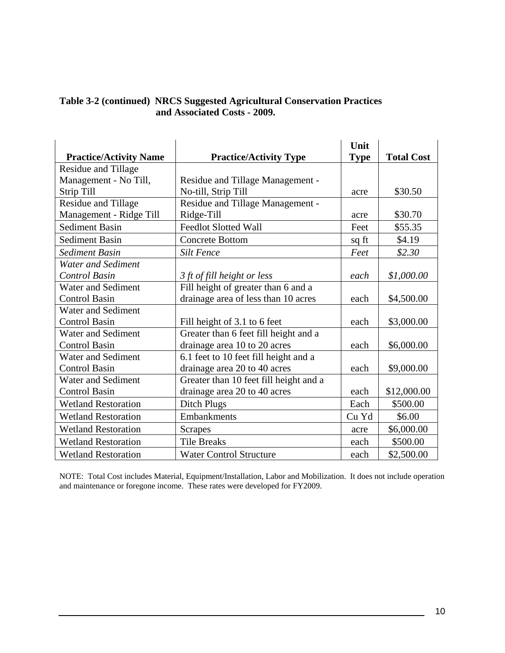| Table 3-2 (continued) NRCS Suggested Agricultural Conservation Practices |
|--------------------------------------------------------------------------|
| and Associated Costs - 2009.                                             |

|                               |                                        | Unit        |                   |
|-------------------------------|----------------------------------------|-------------|-------------------|
| <b>Practice/Activity Name</b> | <b>Practice/Activity Type</b>          | <b>Type</b> | <b>Total Cost</b> |
| Residue and Tillage           |                                        |             |                   |
| Management - No Till,         | Residue and Tillage Management -       |             |                   |
| Strip Till                    | No-till, Strip Till                    | acre        | \$30.50           |
| <b>Residue and Tillage</b>    | Residue and Tillage Management -       |             |                   |
| Management - Ridge Till       | Ridge-Till                             | acre        | \$30.70           |
| <b>Sediment Basin</b>         | <b>Feedlot Slotted Wall</b>            | Feet        | \$55.35           |
| <b>Sediment Basin</b>         | <b>Concrete Bottom</b>                 | sq ft       | \$4.19            |
| <b>Sediment Basin</b>         | <b>Silt Fence</b>                      | Feet        | \$2.30            |
| <b>Water and Sediment</b>     |                                        |             |                   |
| <b>Control Basin</b>          | 3 ft of fill height or less            | each        | \$1,000.00        |
| <b>Water and Sediment</b>     | Fill height of greater than 6 and a    |             |                   |
| <b>Control Basin</b>          | drainage area of less than 10 acres    | each        | \$4,500.00        |
| Water and Sediment            |                                        |             |                   |
| <b>Control Basin</b>          | Fill height of 3.1 to 6 feet           | each        | \$3,000.00        |
| <b>Water and Sediment</b>     | Greater than 6 feet fill height and a  |             |                   |
| <b>Control Basin</b>          | drainage area 10 to 20 acres           | each        | \$6,000.00        |
| <b>Water and Sediment</b>     | 6.1 feet to 10 feet fill height and a  |             |                   |
| <b>Control Basin</b>          | drainage area 20 to 40 acres           | each        | \$9,000.00        |
| Water and Sediment            | Greater than 10 feet fill height and a |             |                   |
| <b>Control Basin</b>          | drainage area 20 to 40 acres           | each        | \$12,000.00       |
| <b>Wetland Restoration</b>    | Ditch Plugs                            | Each        | \$500.00          |
| <b>Wetland Restoration</b>    | <b>Embankments</b>                     | Cu Yd       | \$6.00            |
| <b>Wetland Restoration</b>    | <b>Scrapes</b>                         | acre        | \$6,000.00        |
| <b>Wetland Restoration</b>    | <b>Tile Breaks</b>                     | each        | \$500.00          |
| <b>Wetland Restoration</b>    | <b>Water Control Structure</b>         | each        | \$2,500.00        |

NOTE: Total Cost includes Material, Equipment/Installation, Labor and Mobilization. It does not include operation and maintenance or foregone income. These rates were developed for FY2009.

 $\overline{a}$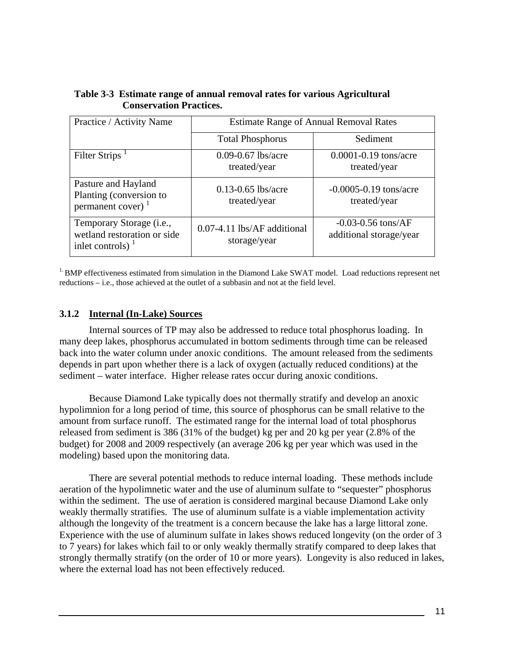| Practice / Activity Name                                                       | <b>Estimate Range of Annual Removal Rates</b> |                                                   |  |
|--------------------------------------------------------------------------------|-----------------------------------------------|---------------------------------------------------|--|
|                                                                                | <b>Total Phosphorus</b>                       | Sediment                                          |  |
| Filter Strips <sup>1</sup>                                                     | $0.09 - 0.67$ lbs/acre<br>treated/year        | $0.0001 - 0.19$ tons/acre<br>treated/year         |  |
| Pasture and Hayland<br>Planting (conversion to<br>permanent cover) $1$         | $0.13 - 0.65$ lbs/acre<br>treated/year        | $-0.0005 - 0.19$ tons/acre<br>treated/year        |  |
| Temporary Storage (i.e.,<br>wetland restoration or side<br>inlet controls) $1$ | 0.07-4.11 lbs/AF additional<br>storage/year   | $-0.03 - 0.56$ tons/AF<br>additional storage/year |  |

<span id="page-14-0"></span>**Table 3-3 Estimate range of annual removal rates for various Agricultural Conservation Practices.** 

<sup>1.</sup> BMP effectiveness estimated from simulation in the Diamond Lake SWAT model. Load reductions represent net reductions – i.e., those achieved at the outlet of a subbasin and not at the field level.

#### **3.1.2 Internal (In-Lake) Sources**

Internal sources of TP may also be addressed to reduce total phosphorus loading. In many deep lakes, phosphorus accumulated in bottom sediments through time can be released back into the water column under anoxic conditions. The amount released from the sediments depends in part upon whether there is a lack of oxygen (actually reduced conditions) at the sediment – water interface. Higher release rates occur during anoxic conditions.

Because Diamond Lake typically does not thermally stratify and develop an anoxic hypolimnion for a long period of time, this source of phosphorus can be small relative to the amount from surface runoff. The estimated range for the internal load of total phosphorus released from sediment is 386 (31% of the budget) kg per and 20 kg per year (2.8% of the budget) for 2008 and 2009 respectively (an average 206 kg per year which was used in the modeling) based upon the monitoring data.

There are several potential methods to reduce internal loading. These methods include aeration of the hypolimnetic water and the use of aluminum sulfate to "sequester" phosphorus within the sediment. The use of aeration is considered marginal because Diamond Lake only weakly thermally stratifies. The use of aluminum sulfate is a viable implementation activity although the longevity of the treatment is a concern because the lake has a large littoral zone. Experience with the use of aluminum sulfate in lakes shows reduced longevity (on the order of 3 to 7 years) for lakes which fail to or only weakly thermally stratify compared to deep lakes that strongly thermally stratify (on the order of 10 or more years). Longevity is also reduced in lakes, where the external load has not been effectively reduced.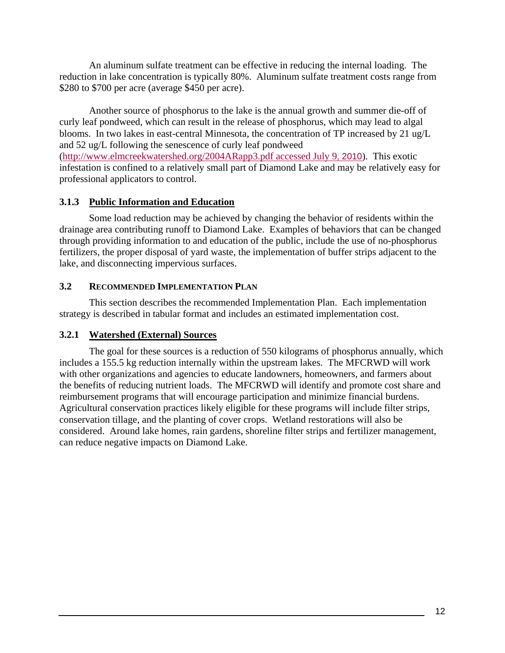<span id="page-15-0"></span>An aluminum sulfate treatment can be effective in reducing the internal loading. The reduction in lake concentration is typically 80%. Aluminum sulfate treatment costs range from \$280 to \$700 per acre (average \$450 per acre).

Another source of phosphorus to the lake is the annual growth and summer die-off of curly leaf pondweed, which can result in the release of phosphorus, which may lead to algal blooms. In two lakes in east-central Minnesota, the concentration of TP increased by 21 ug/L and 52 ug/L following the senescence of curly leaf pondweed ([http://www.elmcreekwatershed.org/2004ARapp3.pdf accessed July 9](http://www.elmcreekwatershed.org/2004ARapp3.pdf%20accessed%20July%209), 2010). This exotic infestation is confined to a relatively small part of Diamond Lake and may be relatively easy for professional applicators to control.

#### **3.1.3 Public Information and Education**

Some load reduction may be achieved by changing the behavior of residents within the drainage area contributing runoff to Diamond Lake. Examples of behaviors that can be changed through providing information to and education of the public, include the use of no-phosphorus fertilizers, the proper disposal of yard waste, the implementation of buffer strips adjacent to the lake, and disconnecting impervious surfaces.

#### **3.2 RECOMMENDED IMPLEMENTATION PLAN**

This section describes the recommended Implementation Plan. Each implementation strategy is described in tabular format and includes an estimated implementation cost.

#### **3.2.1 Watershed (External) Sources**

The goal for these sources is a reduction of 550 kilograms of phosphorus annually, which includes a 155.5 kg reduction internally within the upstream lakes. The MFCRWD will work with other organizations and agencies to educate landowners, homeowners, and farmers about the benefits of reducing nutrient loads. The MFCRWD will identify and promote cost share and reimbursement programs that will encourage participation and minimize financial burdens. Agricultural conservation practices likely eligible for these programs will include filter strips, conservation tillage, and the planting of cover crops. Wetland restorations will also be considered. Around lake homes, rain gardens, shoreline filter strips and fertilizer management, can reduce negative impacts on Diamond Lake.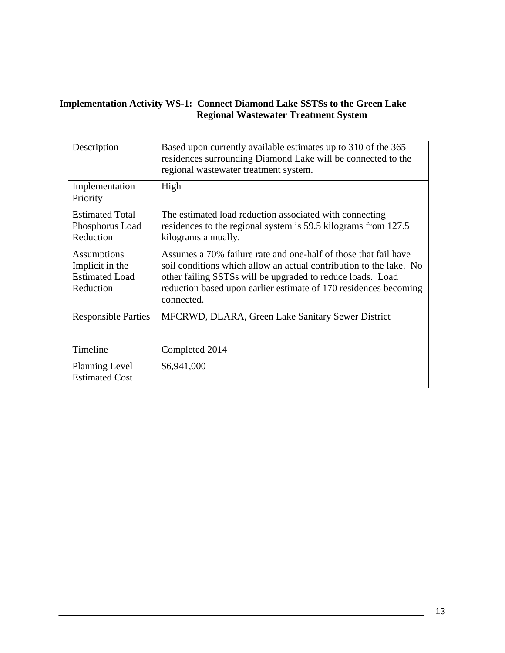#### **Implementation Activity WS-1: Connect Diamond Lake SSTSs to the Green Lake Regional Wastewater Treatment System**

| Description                                                          | Based upon currently available estimates up to 310 of the 365<br>residences surrounding Diamond Lake will be connected to the<br>regional wastewater treatment system.                                                                                                                |
|----------------------------------------------------------------------|---------------------------------------------------------------------------------------------------------------------------------------------------------------------------------------------------------------------------------------------------------------------------------------|
| Implementation<br>Priority                                           | High                                                                                                                                                                                                                                                                                  |
| <b>Estimated Total</b><br>Phosphorus Load<br>Reduction               | The estimated load reduction associated with connecting<br>residences to the regional system is 59.5 kilograms from 127.5<br>kilograms annually.                                                                                                                                      |
| Assumptions<br>Implicit in the<br><b>Estimated Load</b><br>Reduction | Assumes a 70% failure rate and one-half of those that fail have<br>soil conditions which allow an actual contribution to the lake. No<br>other failing SSTSs will be upgraded to reduce loads. Load<br>reduction based upon earlier estimate of 170 residences becoming<br>connected. |
| <b>Responsible Parties</b>                                           | MFCRWD, DLARA, Green Lake Sanitary Sewer District                                                                                                                                                                                                                                     |
| Timeline                                                             | Completed 2014                                                                                                                                                                                                                                                                        |
| <b>Planning Level</b><br><b>Estimated Cost</b>                       | \$6,941,000                                                                                                                                                                                                                                                                           |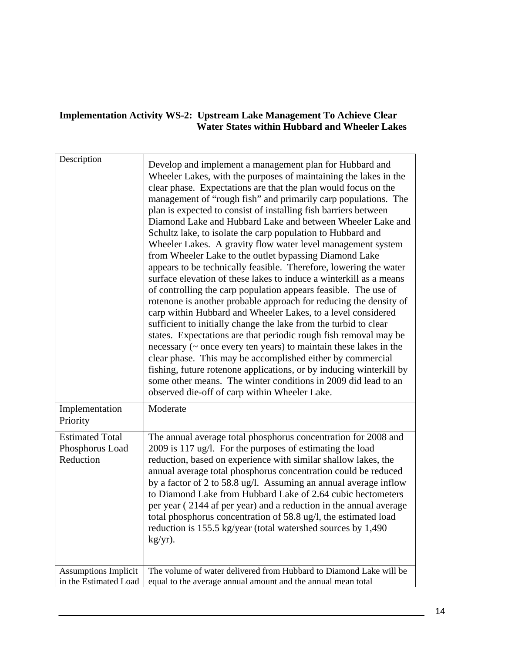#### **Implementation Activity WS-2: Upstream Lake Management To Achieve Clear Water States within Hubbard and Wheeler Lakes**

| Description                                            | Develop and implement a management plan for Hubbard and<br>Wheeler Lakes, with the purposes of maintaining the lakes in the<br>clear phase. Expectations are that the plan would focus on the<br>management of "rough fish" and primarily carp populations. The<br>plan is expected to consist of installing fish barriers between<br>Diamond Lake and Hubbard Lake and between Wheeler Lake and<br>Schultz lake, to isolate the carp population to Hubbard and<br>Wheeler Lakes. A gravity flow water level management system<br>from Wheeler Lake to the outlet bypassing Diamond Lake<br>appears to be technically feasible. Therefore, lowering the water<br>surface elevation of these lakes to induce a winterkill as a means<br>of controlling the carp population appears feasible. The use of<br>rotenone is another probable approach for reducing the density of<br>carp within Hubbard and Wheeler Lakes, to a level considered<br>sufficient to initially change the lake from the turbid to clear<br>states. Expectations are that periodic rough fish removal may be<br>necessary (~ once every ten years) to maintain these lakes in the<br>clear phase. This may be accomplished either by commercial<br>fishing, future rotenone applications, or by inducing winterkill by<br>some other means. The winter conditions in 2009 did lead to an<br>observed die-off of carp within Wheeler Lake. |
|--------------------------------------------------------|------------------------------------------------------------------------------------------------------------------------------------------------------------------------------------------------------------------------------------------------------------------------------------------------------------------------------------------------------------------------------------------------------------------------------------------------------------------------------------------------------------------------------------------------------------------------------------------------------------------------------------------------------------------------------------------------------------------------------------------------------------------------------------------------------------------------------------------------------------------------------------------------------------------------------------------------------------------------------------------------------------------------------------------------------------------------------------------------------------------------------------------------------------------------------------------------------------------------------------------------------------------------------------------------------------------------------------------------------------------------------------------------------------------|
| Implementation<br>Priority                             | Moderate                                                                                                                                                                                                                                                                                                                                                                                                                                                                                                                                                                                                                                                                                                                                                                                                                                                                                                                                                                                                                                                                                                                                                                                                                                                                                                                                                                                                         |
| <b>Estimated Total</b><br>Phosphorus Load<br>Reduction | The annual average total phosphorus concentration for 2008 and<br>2009 is 117 ug/l. For the purposes of estimating the load<br>reduction, based on experience with similar shallow lakes, the<br>annual average total phosphorus concentration could be reduced<br>by a factor of 2 to 58.8 ug/l. Assuming an annual average inflow<br>to Diamond Lake from Hubbard Lake of 2.64 cubic hectometers<br>per year (2144 af per year) and a reduction in the annual average<br>total phosphorus concentration of 58.8 ug/l, the estimated load<br>reduction is 155.5 kg/year (total watershed sources by 1,490)<br>kg/yr).                                                                                                                                                                                                                                                                                                                                                                                                                                                                                                                                                                                                                                                                                                                                                                                           |
| <b>Assumptions Implicit</b><br>in the Estimated Load   | The volume of water delivered from Hubbard to Diamond Lake will be<br>equal to the average annual amount and the annual mean total                                                                                                                                                                                                                                                                                                                                                                                                                                                                                                                                                                                                                                                                                                                                                                                                                                                                                                                                                                                                                                                                                                                                                                                                                                                                               |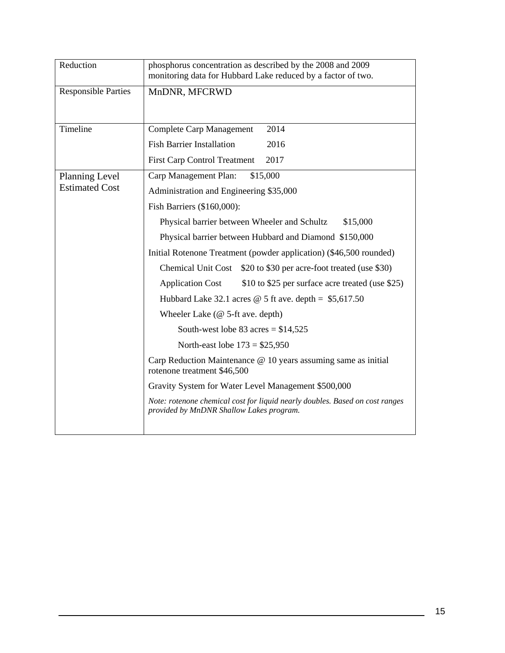| Reduction                  | phosphorus concentration as described by the 2008 and 2009<br>monitoring data for Hubbard Lake reduced by a factor of two. |  |  |  |
|----------------------------|----------------------------------------------------------------------------------------------------------------------------|--|--|--|
| <b>Responsible Parties</b> | MnDNR, MFCRWD                                                                                                              |  |  |  |
| Timeline                   | 2014<br><b>Complete Carp Management</b>                                                                                    |  |  |  |
|                            | <b>Fish Barrier Installation</b><br>2016                                                                                   |  |  |  |
|                            | 2017<br><b>First Carp Control Treatment</b>                                                                                |  |  |  |
| Planning Level             | Carp Management Plan:<br>\$15,000                                                                                          |  |  |  |
| <b>Estimated Cost</b>      | Administration and Engineering \$35,000                                                                                    |  |  |  |
|                            | Fish Barriers (\$160,000):                                                                                                 |  |  |  |
|                            | Physical barrier between Wheeler and Schultz<br>\$15,000                                                                   |  |  |  |
|                            | Physical barrier between Hubbard and Diamond \$150,000                                                                     |  |  |  |
|                            | Initial Rotenone Treatment (powder application) (\$46,500 rounded)                                                         |  |  |  |
|                            | Chemical Unit Cost \$20 to \$30 per acre-foot treated (use \$30)                                                           |  |  |  |
|                            | \$10 to \$25 per surface acre treated (use \$25)<br><b>Application Cost</b>                                                |  |  |  |
|                            | Hubbard Lake 32.1 acres $\omega$ 5 ft ave. depth = \$5,617.50                                                              |  |  |  |
|                            | Wheeler Lake $(\emptyset$ 5-ft ave. depth)                                                                                 |  |  |  |
|                            | South-west lobe 83 acres = $$14,525$                                                                                       |  |  |  |
|                            | North-east lobe $173 = $25,950$                                                                                            |  |  |  |
|                            | Carp Reduction Maintenance @ 10 years assuming same as initial<br>rotenone treatment \$46,500                              |  |  |  |
|                            | Gravity System for Water Level Management \$500,000                                                                        |  |  |  |
|                            | Note: rotenone chemical cost for liquid nearly doubles. Based on cost ranges<br>provided by MnDNR Shallow Lakes program.   |  |  |  |
|                            |                                                                                                                            |  |  |  |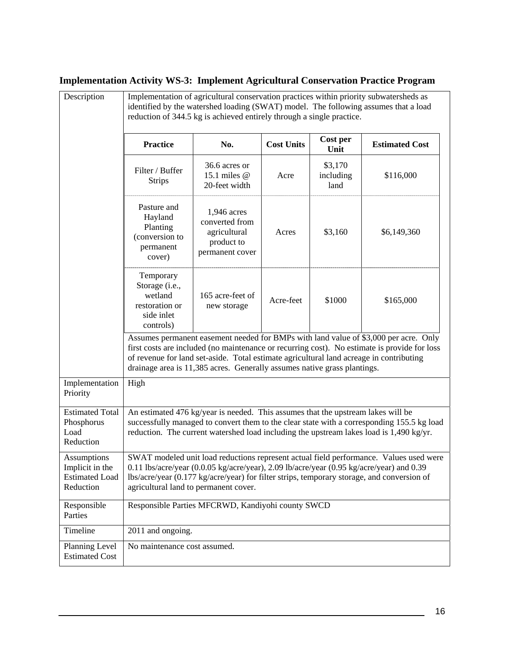# **Implementation Activity WS-3: Implement Agricultural Conservation Practice Program**

| Description                                                          | Implementation of agricultural conservation practices within priority subwatersheds as<br>identified by the watershed loading (SWAT) model. The following assumes that a load<br>reduction of 344.5 kg is achieved entirely through a single practice.                                                                                                      |                                                                                |                   |                              |                       |
|----------------------------------------------------------------------|-------------------------------------------------------------------------------------------------------------------------------------------------------------------------------------------------------------------------------------------------------------------------------------------------------------------------------------------------------------|--------------------------------------------------------------------------------|-------------------|------------------------------|-----------------------|
| <b>Practice</b>                                                      |                                                                                                                                                                                                                                                                                                                                                             | No.                                                                            | <b>Cost Units</b> | Cost per<br>Unit             | <b>Estimated Cost</b> |
|                                                                      | Filter / Buffer<br><b>Strips</b>                                                                                                                                                                                                                                                                                                                            | 36.6 acres or<br>15.1 miles @<br>20-feet width                                 | Acre              | \$3,170<br>including<br>land | \$116,000             |
|                                                                      | Pasture and<br>Hayland<br>Planting<br>(conversion to<br>permanent<br>cover)                                                                                                                                                                                                                                                                                 | 1,946 acres<br>converted from<br>agricultural<br>product to<br>permanent cover | Acres             | \$3,160                      | \$6,149,360           |
|                                                                      | Temporary<br>Storage (i.e.,<br>wetland<br>restoration or<br>side inlet<br>controls)                                                                                                                                                                                                                                                                         | 165 acre-feet of<br>new storage                                                | Acre-feet         | \$1000                       | \$165,000             |
|                                                                      | Assumes permanent easement needed for BMPs with land value of \$3,000 per acre. Only<br>first costs are included (no maintenance or recurring cost). No estimate is provide for loss<br>of revenue for land set-aside. Total estimate agricultural land acreage in contributing<br>drainage area is 11,385 acres. Generally assumes native grass plantings. |                                                                                |                   |                              |                       |
| Implementation<br>Priority                                           | High                                                                                                                                                                                                                                                                                                                                                        |                                                                                |                   |                              |                       |
| <b>Estimated Total</b><br>Phosphorus<br>Load<br>Reduction            | An estimated 476 kg/year is needed. This assumes that the upstream lakes will be<br>successfully managed to convert them to the clear state with a corresponding 155.5 kg load<br>reduction. The current watershed load including the upstream lakes load is 1,490 kg/yr.                                                                                   |                                                                                |                   |                              |                       |
| Assumptions<br>Implicit in the<br><b>Estimated Load</b><br>Reduction | SWAT modeled unit load reductions represent actual field performance. Values used were<br>0.11 lbs/acre/year (0.0.05 kg/acre/year), 2.09 lb/acre/year (0.95 kg/acre/year) and 0.39<br>lbs/acre/year (0.177 kg/acre/year) for filter strips, temporary storage, and conversion of<br>agricultural land to permanent cover.                                   |                                                                                |                   |                              |                       |
| Responsible<br>Parties                                               | Responsible Parties MFCRWD, Kandiyohi county SWCD                                                                                                                                                                                                                                                                                                           |                                                                                |                   |                              |                       |
| Timeline                                                             | 2011 and ongoing.                                                                                                                                                                                                                                                                                                                                           |                                                                                |                   |                              |                       |
| Planning Level<br><b>Estimated Cost</b>                              | No maintenance cost assumed.                                                                                                                                                                                                                                                                                                                                |                                                                                |                   |                              |                       |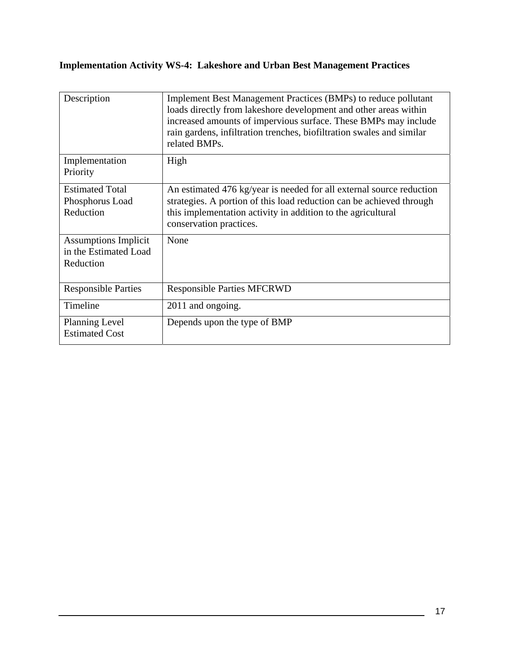## **Implementation Activity WS-4: Lakeshore and Urban Best Management Practices**

| Description                                                       | Implement Best Management Practices (BMPs) to reduce pollutant<br>loads directly from lakeshore development and other areas within<br>increased amounts of impervious surface. These BMPs may include<br>rain gardens, infiltration trenches, biofiltration swales and similar<br>related BMPs. |
|-------------------------------------------------------------------|-------------------------------------------------------------------------------------------------------------------------------------------------------------------------------------------------------------------------------------------------------------------------------------------------|
| Implementation<br>Priority                                        | High                                                                                                                                                                                                                                                                                            |
| <b>Estimated Total</b><br>Phosphorus Load<br>Reduction            | An estimated 476 kg/year is needed for all external source reduction<br>strategies. A portion of this load reduction can be achieved through<br>this implementation activity in addition to the agricultural<br>conservation practices.                                                         |
| <b>Assumptions Implicit</b><br>in the Estimated Load<br>Reduction | None                                                                                                                                                                                                                                                                                            |
| <b>Responsible Parties</b>                                        | <b>Responsible Parties MFCRWD</b>                                                                                                                                                                                                                                                               |
| Timeline                                                          | 2011 and ongoing.                                                                                                                                                                                                                                                                               |
| <b>Planning Level</b><br><b>Estimated Cost</b>                    | Depends upon the type of BMP                                                                                                                                                                                                                                                                    |

<u> 1980 - Jan Barbara Barbara, política establecera en la propia de la propia de la propia de la propia de la p</u>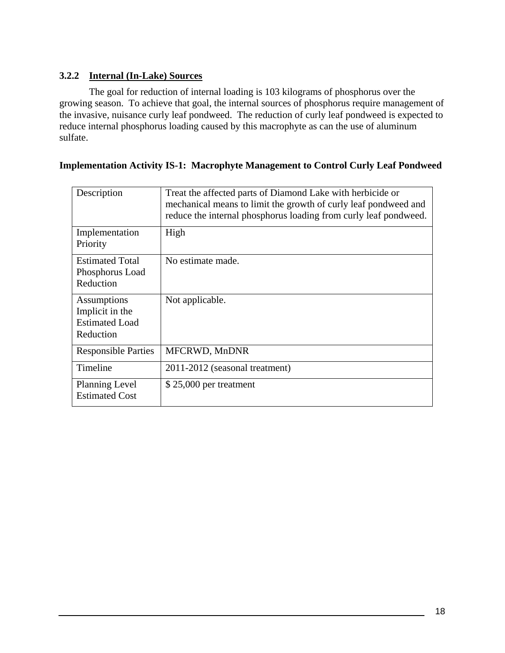#### **3.2.2 Internal (In-Lake) Sources**

The goal for reduction of internal loading is 103 kilograms of phosphorus over the growing season. To achieve that goal, the internal sources of phosphorus require management of the invasive, nuisance curly leaf pondweed. The reduction of curly leaf pondweed is expected to reduce internal phosphorus loading caused by this macrophyte as can the use of aluminum sulfate.

#### **Implementation Activity IS-1: Macrophyte Management to Control Curly Leaf Pondweed**

| Description                                                          | Treat the affected parts of Diamond Lake with herbicide or<br>mechanical means to limit the growth of curly leaf pondweed and<br>reduce the internal phosphorus loading from curly leaf pondweed. |
|----------------------------------------------------------------------|---------------------------------------------------------------------------------------------------------------------------------------------------------------------------------------------------|
| Implementation<br>Priority                                           | High                                                                                                                                                                                              |
| <b>Estimated Total</b><br>Phosphorus Load<br>Reduction               | No estimate made.                                                                                                                                                                                 |
| Assumptions<br>Implicit in the<br><b>Estimated Load</b><br>Reduction | Not applicable.                                                                                                                                                                                   |
| <b>Responsible Parties</b>                                           | MFCRWD, MnDNR                                                                                                                                                                                     |
| Timeline                                                             | 2011-2012 (seasonal treatment)                                                                                                                                                                    |
| Planning Level<br><b>Estimated Cost</b>                              | $$25,000$ per treatment                                                                                                                                                                           |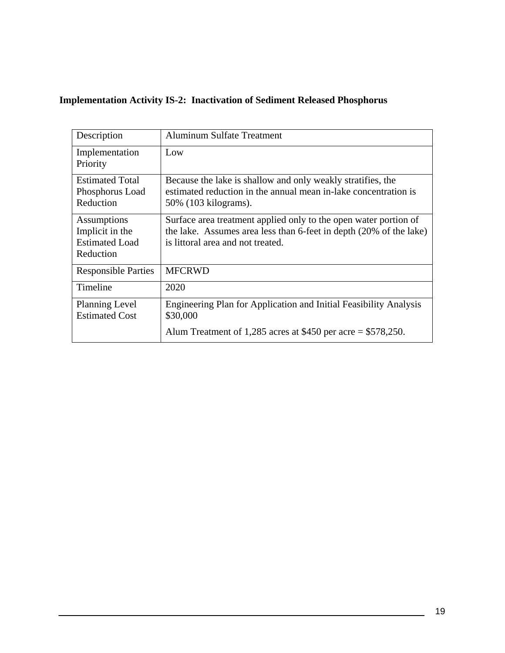## **Implementation Activity IS-2: Inactivation of Sediment Released Phosphorus**

| Description                                                          | <b>Aluminum Sulfate Treatment</b>                                                                                                                                           |
|----------------------------------------------------------------------|-----------------------------------------------------------------------------------------------------------------------------------------------------------------------------|
| Implementation<br>Priority                                           | Low                                                                                                                                                                         |
| <b>Estimated Total</b><br>Phosphorus Load<br>Reduction               | Because the lake is shallow and only weakly stratifies, the<br>estimated reduction in the annual mean in-lake concentration is<br>50% (103 kilograms).                      |
| Assumptions<br>Implicit in the<br><b>Estimated Load</b><br>Reduction | Surface area treatment applied only to the open water portion of<br>the lake. Assumes area less than 6-feet in depth (20% of the lake)<br>is littoral area and not treated. |
| <b>Responsible Parties</b>                                           | <b>MFCRWD</b>                                                                                                                                                               |
| Timeline                                                             | 2020                                                                                                                                                                        |
| <b>Planning Level</b><br><b>Estimated Cost</b>                       | Engineering Plan for Application and Initial Feasibility Analysis<br>\$30,000<br>Alum Treatment of 1,285 acres at \$450 per acre = \$578,250.                               |
|                                                                      |                                                                                                                                                                             |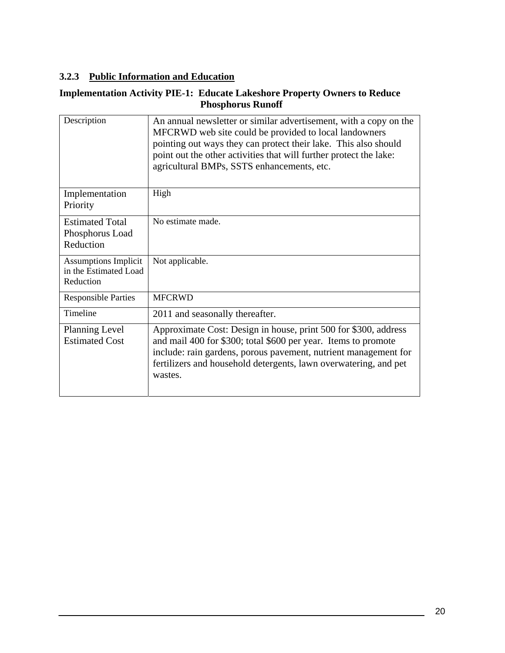#### <span id="page-23-0"></span>**3.2.3 Public Information and Education**

#### **Implementation Activity PIE-1: Educate Lakeshore Property Owners to Reduce Phosphorus Runoff**

| Description                                                       | An annual newsletter or similar advertisement, with a copy on the<br>MFCRWD web site could be provided to local landowners<br>pointing out ways they can protect their lake. This also should<br>point out the other activities that will further protect the lake:<br>agricultural BMPs, SSTS enhancements, etc. |
|-------------------------------------------------------------------|-------------------------------------------------------------------------------------------------------------------------------------------------------------------------------------------------------------------------------------------------------------------------------------------------------------------|
| Implementation<br>Priority                                        | High                                                                                                                                                                                                                                                                                                              |
| <b>Estimated Total</b><br>Phosphorus Load<br>Reduction            | No estimate made.                                                                                                                                                                                                                                                                                                 |
| <b>Assumptions Implicit</b><br>in the Estimated Load<br>Reduction | Not applicable.                                                                                                                                                                                                                                                                                                   |
| <b>Responsible Parties</b>                                        | <b>MFCRWD</b>                                                                                                                                                                                                                                                                                                     |
| Timeline                                                          | 2011 and seasonally thereafter.                                                                                                                                                                                                                                                                                   |
| <b>Planning Level</b><br><b>Estimated Cost</b>                    | Approximate Cost: Design in house, print 500 for \$300, address<br>and mail 400 for \$300; total \$600 per year. Items to promote<br>include: rain gardens, porous pavement, nutrient management for<br>fertilizers and household detergents, lawn overwatering, and pet<br>wastes.                               |

 $\overline{\phantom{a}}$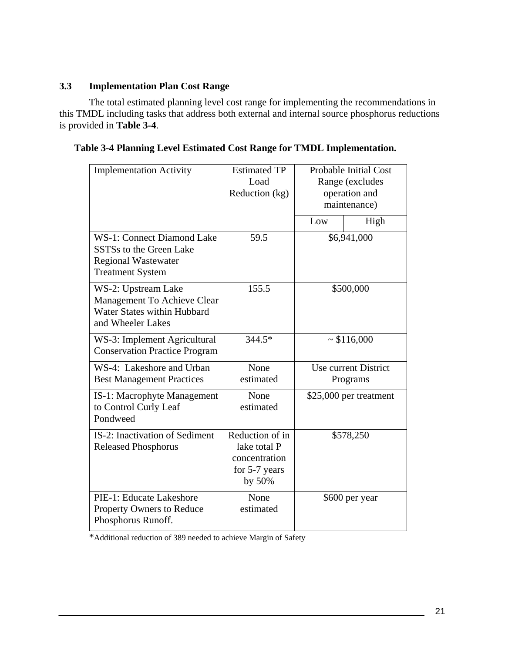#### <span id="page-24-0"></span>**3.3 Implementation Plan Cost Range**

The total estimated planning level cost range for implementing the recommendations in this TMDL including tasks that address both external and internal source phosphorus reductions is provided in **Table 3-4**.

**Table 3-4 Planning Level Estimated Cost Range for TMDL Implementation.** 

| <b>Implementation Activity</b>                                                                                                    | <b>Estimated TP</b><br>Load<br>Reduction (kg)                               |                                  | <b>Probable Initial Cost</b><br>Range (excludes<br>operation and<br>maintenance) |
|-----------------------------------------------------------------------------------------------------------------------------------|-----------------------------------------------------------------------------|----------------------------------|----------------------------------------------------------------------------------|
|                                                                                                                                   |                                                                             | Low                              | High                                                                             |
| <b>WS-1: Connect Diamond Lake</b><br>SSTS <sub>s</sub> to the Green Lake<br><b>Regional Wastewater</b><br><b>Treatment System</b> | 59.5                                                                        | \$6,941,000                      |                                                                                  |
| WS-2: Upstream Lake<br>Management To Achieve Clear<br>Water States within Hubbard<br>and Wheeler Lakes                            | 155.5                                                                       | \$500,000                        |                                                                                  |
| WS-3: Implement Agricultural<br><b>Conservation Practice Program</b>                                                              | 344.5*                                                                      | ~116,000                         |                                                                                  |
| WS-4: Lakeshore and Urban<br><b>Best Management Practices</b>                                                                     | None<br>estimated                                                           | Use current District<br>Programs |                                                                                  |
| IS-1: Macrophyte Management<br>to Control Curly Leaf<br>Pondweed                                                                  | None<br>estimated                                                           | \$25,000 per treatment           |                                                                                  |
| <b>IS-2: Inactivation of Sediment</b><br><b>Released Phosphorus</b>                                                               | Reduction of in<br>lake total P<br>concentration<br>for 5-7 years<br>by 50% | \$578,250                        |                                                                                  |
| PIE-1: Educate Lakeshore<br><b>Property Owners to Reduce</b><br>Phosphorus Runoff.                                                | None<br>estimated                                                           | \$600 per year                   |                                                                                  |

\*Additional reduction of 389 needed to achieve Margin of Safety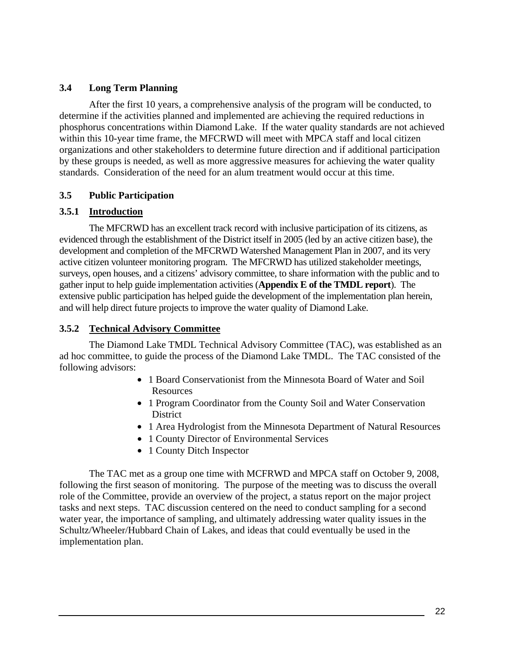#### <span id="page-25-0"></span>**3.4 Long Term Planning**

After the first 10 years, a comprehensive analysis of the program will be conducted, to determine if the activities planned and implemented are achieving the required reductions in phosphorus concentrations within Diamond Lake. If the water quality standards are not achieved within this 10-year time frame, the MFCRWD will meet with MPCA staff and local citizen organizations and other stakeholders to determine future direction and if additional participation by these groups is needed, as well as more aggressive measures for achieving the water quality standards. Consideration of the need for an alum treatment would occur at this time.

#### **3.5 Public Participation**

#### **3.5.1 Introduction**

The MFCRWD has an excellent track record with inclusive participation of its citizens, as evidenced through the establishment of the District itself in 2005 (led by an active citizen base), the development and completion of the MFCRWD Watershed Management Plan in 2007, and its very active citizen volunteer monitoring program. The MFCRWD has utilized stakeholder meetings, surveys, open houses, and a citizens' advisory committee, to share information with the public and to gather input to help guide implementation activities (**Appendix E of the TMDL report**). The extensive public participation has helped guide the development of the implementation plan herein, and will help direct future projects to improve the water quality of Diamond Lake.

#### **3.5.2 Technical Advisory Committee**

The Diamond Lake TMDL Technical Advisory Committee (TAC), was established as an ad hoc committee, to guide the process of the Diamond Lake TMDL. The TAC consisted of the following advisors:

- 1 Board Conservationist from the Minnesota Board of Water and Soil Resources
- 1 Program Coordinator from the County Soil and Water Conservation **District**
- 1 Area Hydrologist from the Minnesota Department of Natural Resources
- 1 County Director of Environmental Services
- 1 County Ditch Inspector

The TAC met as a group one time with MCFRWD and MPCA staff on October 9, 2008, following the first season of monitoring. The purpose of the meeting was to discuss the overall role of the Committee, provide an overview of the project, a status report on the major project tasks and next steps. TAC discussion centered on the need to conduct sampling for a second water year, the importance of sampling, and ultimately addressing water quality issues in the Schultz/Wheeler/Hubbard Chain of Lakes, and ideas that could eventually be used in the implementation plan.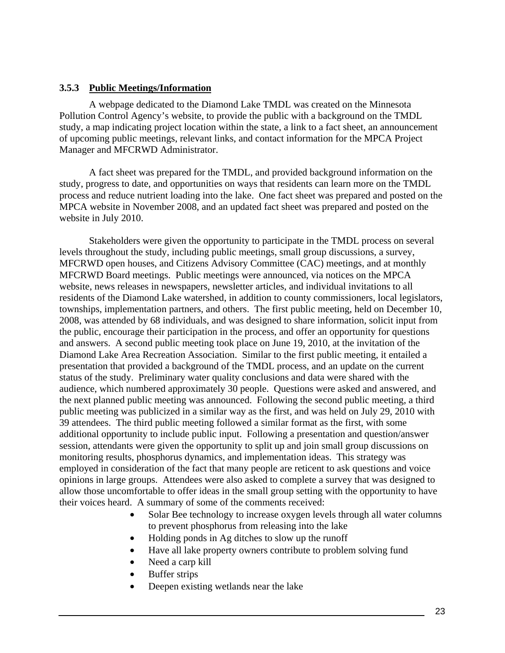#### **3.5.3 Public Meetings/Information**

A webpage dedicated to the Diamond Lake TMDL was created on the Minnesota Pollution Control Agency's website, to provide the public with a background on the TMDL study, a map indicating project location within the state, a link to a fact sheet, an announcement of upcoming public meetings, relevant links, and contact information for the MPCA Project Manager and MFCRWD Administrator.

A fact sheet was prepared for the TMDL, and provided background information on the study, progress to date, and opportunities on ways that residents can learn more on the TMDL process and reduce nutrient loading into the lake. One fact sheet was prepared and posted on the MPCA website in November 2008, and an updated fact sheet was prepared and posted on the website in July 2010.

Stakeholders were given the opportunity to participate in the TMDL process on several levels throughout the study, including public meetings, small group discussions, a survey, MFCRWD open houses, and Citizens Advisory Committee (CAC) meetings, and at monthly MFCRWD Board meetings. Public meetings were announced, via notices on the MPCA website, news releases in newspapers, newsletter articles, and individual invitations to all residents of the Diamond Lake watershed, in addition to county commissioners, local legislators, townships, implementation partners, and others. The first public meeting, held on December 10, 2008, was attended by 68 individuals, and was designed to share information, solicit input from the public, encourage their participation in the process, and offer an opportunity for questions and answers. A second public meeting took place on June 19, 2010, at the invitation of the Diamond Lake Area Recreation Association. Similar to the first public meeting, it entailed a presentation that provided a background of the TMDL process, and an update on the current status of the study. Preliminary water quality conclusions and data were shared with the audience, which numbered approximately 30 people. Questions were asked and answered, and the next planned public meeting was announced. Following the second public meeting, a third public meeting was publicized in a similar way as the first, and was held on July 29, 2010 with 39 attendees. The third public meeting followed a similar format as the first, with some additional opportunity to include public input. Following a presentation and question/answer session, attendants were given the opportunity to split up and join small group discussions on monitoring results, phosphorus dynamics, and implementation ideas. This strategy was employed in consideration of the fact that many people are reticent to ask questions and voice opinions in large groups. Attendees were also asked to complete a survey that was designed to allow those uncomfortable to offer ideas in the small group setting with the opportunity to have their voices heard. A summary of some of the comments received:

- Solar Bee technology to increase oxygen levels through all water columns to prevent phosphorus from releasing into the lake
- Holding ponds in Ag ditches to slow up the runoff
- Have all lake property owners contribute to problem solving fund
- Need a carp kill
- Buffer strips
- Deepen existing wetlands near the lake